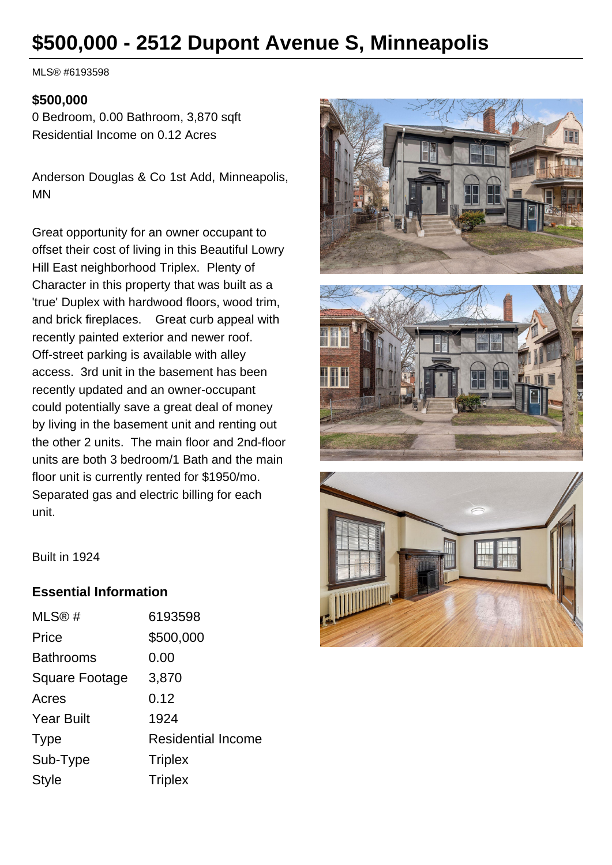# **\$500,000 - 2512 Dupont Avenue S, Minneapolis**

MLS® #6193598

#### **\$500,000**

0 Bedroom, 0.00 Bathroom, 3,870 sqft Residential Income on 0.12 Acres

Anderson Douglas & Co 1st Add, Minneapolis, MN

Great opportunity for an owner occupant to offset their cost of living in this Beautiful Lowry Hill East neighborhood Triplex. Plenty of Character in this property that was built as a 'true' Duplex with hardwood floors, wood trim, and brick fireplaces. Great curb appeal with recently painted exterior and newer roof. Off-street parking is available with alley access. 3rd unit in the basement has been recently updated and an owner-occupant could potentially save a great deal of money by living in the basement unit and renting out the other 2 units. The main floor and 2nd-floor units are both 3 bedroom/1 Bath and the main floor unit is currently rented for \$1950/mo. Separated gas and electric billing for each unit.







Built in 1924

## **Essential Information**

| MLS@#                 | 6193598                   |
|-----------------------|---------------------------|
| Price                 | \$500,000                 |
| <b>Bathrooms</b>      | 0.00                      |
| <b>Square Footage</b> | 3,870                     |
| Acres                 | 0.12                      |
| <b>Year Built</b>     | 1924                      |
| <b>Type</b>           | <b>Residential Income</b> |
| Sub-Type              | <b>Triplex</b>            |
| <b>Style</b>          | <b>Triplex</b>            |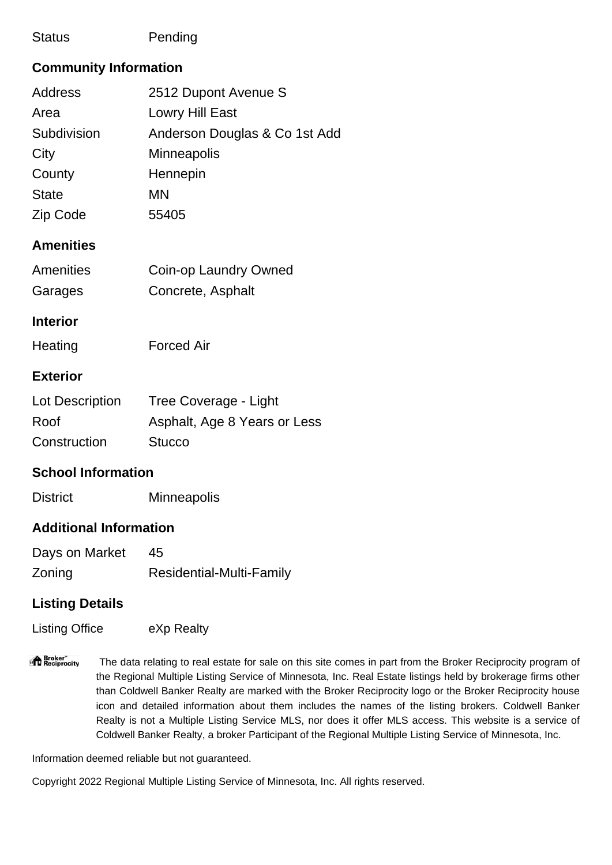## Status **Pending**

# **Community Information**

| <b>Address</b> | 2512 Dupont Avenue S          |
|----------------|-------------------------------|
| Area           | Lowry Hill East               |
| Subdivision    | Anderson Douglas & Co 1st Add |
| City           | <b>Minneapolis</b>            |
| County         | Hennepin                      |
| <b>State</b>   | <b>MN</b>                     |
| Zip Code       | 55405                         |

## **Amenities**

| <b>Amenities</b> | Coin-op Laundry Owned |
|------------------|-----------------------|
| Garages          | Concrete, Asphalt     |

#### **Interior**

Heating **Forced Air** 

### **Exterior**

| Lot Description | Tree Coverage - Light        |
|-----------------|------------------------------|
| Roof            | Asphalt, Age 8 Years or Less |
| Construction    | <b>Stucco</b>                |

# **School Information**

District Minneapolis

# **Additional Information**

| Days on Market | 45                              |
|----------------|---------------------------------|
| Zoning         | <b>Residential-Multi-Family</b> |

# **Listing Details**

Listing Office **EXP Realty** 

"<sup>1</sup> Broker"<br>"I Reciprocity The data relating to real estate for sale on this site comes in part from the Broker Reciprocity program of the Regional Multiple Listing Service of Minnesota, Inc. Real Estate listings held by brokerage firms other than Coldwell Banker Realty are marked with the Broker Reciprocity logo or the Broker Reciprocity house icon and detailed information about them includes the names of the listing brokers. Coldwell Banker Realty is not a Multiple Listing Service MLS, nor does it offer MLS access. This website is a service of Coldwell Banker Realty, a broker Participant of the Regional Multiple Listing Service of Minnesota, Inc.

Information deemed reliable but not guaranteed.

Copyright 2022 Regional Multiple Listing Service of Minnesota, Inc. All rights reserved.